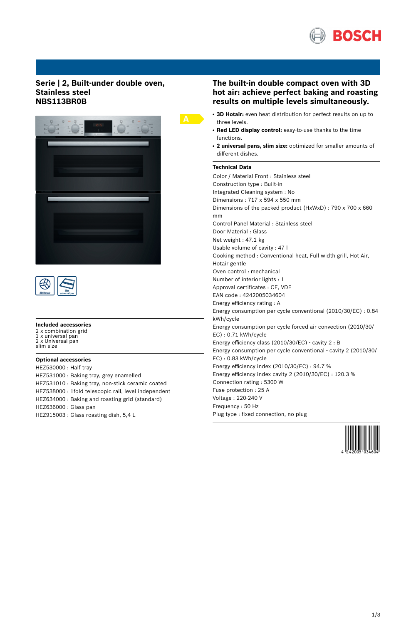

## **Serie | 2, Built-under double oven, Stainless steel NBS113BR0B**





#### **Included accessories**

2 x combination grid 1 x universal pan 2 x Universal pan slim size

### **Optional accessories**

HEZ530000 : Half tray HEZ531000 : Baking tray, grey enamelled HEZ531010 : Baking tray, non-stick ceramic coated HEZ538000 : 1fold telescopic rail, level independent HEZ634000 : Baking and roasting grid (standard) HEZ636000 : Glass pan HEZ915003 : Glass roasting dish, 5,4 L

## **The built-in double compact oven with 3D hot air: achieve perfect baking and roasting results on multiple levels simultaneously.**

- 3D Hotair: even heat distribution for perfect results on up to three levels.
- **Red LED display control:** easy-to-use thanks to the time functions.
- **2 universal pans, slim size:** optimized for smaller amounts of different dishes.

## **Technical Data**

Color / Material Front : Stainless steel Construction type : Built-in Integrated Cleaning system : No Dimensions : 717 x 594 x 550 mm Dimensions of the packed product (HxWxD) : 790 x 700 x 660 mm Control Panel Material : Stainless steel Door Material : Glass Net weight : 47.1 kg Usable volume of cavity : 47 l Cooking method : Conventional heat, Full width grill, Hot Air, Hotair gentle Oven control : mechanical Number of interior lights : 1 Approval certificates : CE, VDE EAN code : 4242005034604 Energy efficiency rating : A Energy consumption per cycle conventional (2010/30/EC) : 0.84 kWh/cycle Energy consumption per cycle forced air convection (2010/30/ EC) : 0.71 kWh/cycle Energy efficiency class (2010/30/EC) - cavity 2 : B Energy consumption per cycle conventional - cavity 2 (2010/30/ EC) : 0.83 kWh/cycle Energy efficiency index (2010/30/EC) : 94.7 % Energy efficiency index cavity 2 (2010/30/EC) : 120.3 % Connection rating : 5300 W Fuse protection : 25 A Voltage : 220-240 V Frequency : 50 Hz

Plug type : fixed connection, no plug

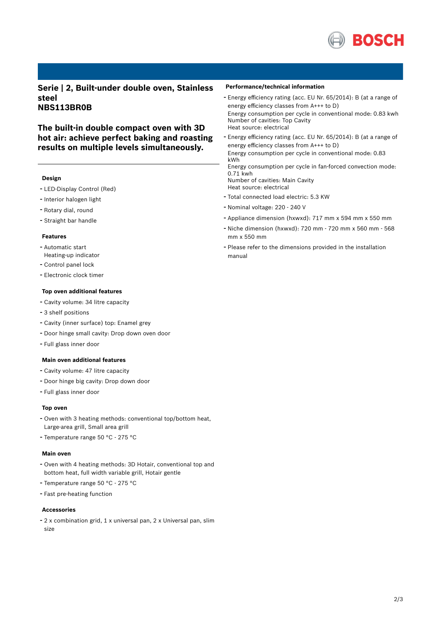

**Serie | 2, Built-under double oven, Stainless steel NBS113BR0B**

**The built-in double compact oven with 3D hot air: achieve perfect baking and roasting results on multiple levels simultaneously.**

#### **Design**

- LED-Display Control (Red)
- Interior halogen light
- Rotary dial, round
- Straight bar handle

#### **Features**

- Automatic start
- Heating-up indicator - Control panel lock
- Electronic clock timer

#### **Top oven additional features**

- Cavity volume: <sup>34</sup> litre capacity
- 3 shelf positions
- Cavity (inner surface) top: Enamel grey
- Door hinge small cavity: Drop down oven door
- Full glass inner door

### **Main oven additional features**

- Cavity volume: <sup>47</sup> litre capacity
- Door hinge big cavity: Drop down door
- Full glass inner door

#### **Top oven**

- Oven with <sup>3</sup> heating methods: conventional top/bottom heat, Large-area grill, Small area grill
- Temperature range <sup>50</sup> °C <sup>275</sup> °C

#### **Main oven**

- Oven with <sup>4</sup> heating methods: 3D Hotair, conventional top and bottom heat, full width variable grill, Hotair gentle
- Temperature range <sup>50</sup> °C <sup>275</sup> °C
- Fast pre-heating function

#### **Accessories**

- <sup>2</sup> <sup>x</sup> combination grid, <sup>1</sup> <sup>x</sup> universal pan, <sup>2</sup> <sup>x</sup> Universal pan, slim size

#### **Performance/technical information**

- Energy efficiency rating (acc. EU Nr. 65/2014): <sup>B</sup> (at <sup>a</sup> range of energy efficiency classes from A+++ to D) Energy consumption per cycle in conventional mode: 0.83 kwh Number of cavities: Top Cavity Heat source: electrical
- Energy efficiency rating (acc. EU Nr. 65/2014): <sup>B</sup> (at <sup>a</sup> range of energy efficiency classes from A+++ to D) Energy consumption per cycle in conventional mode: 0.83 kWh Energy consumption per cycle in fan-forced convection mode: 0.71 kwh

Number of cavities: Main Cavity

- Heat source: electrical
- Total connected load electric: 5.3 KW
- Nominal voltage: <sup>220</sup> <sup>240</sup> <sup>V</sup>
- Appliance dimension (hxwxd): 717 mm x 594 mm x 550 mm
- Niche dimension (hxwxd): <sup>720</sup> mm <sup>720</sup> mm <sup>x</sup> <sup>560</sup> mm <sup>568</sup> mm x 550 mm
- Please refer to the dimensions provided in the installation manual